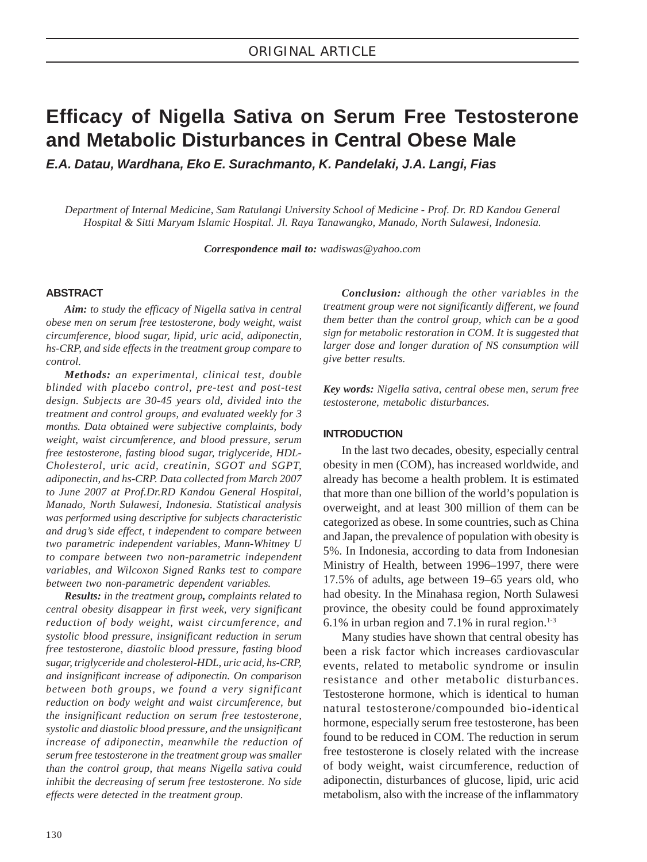# **Efficacy of Nigella Sativa on Serum Free Testosterone and Metabolic Disturbances in Central Obese Male**

*E.A. Datau, Wardhana, Eko E. Surachmanto, K. Pandelaki, J.A. Langi, Fias*

*Department of Internal Medicine, Sam Ratulangi University School of Medicine - Prof. Dr. RD Kandou General Hospital & Sitti Maryam Islamic Hospital. Jl. Raya Tanawangko, Manado, North Sulawesi, Indonesia.*

*Correspondence mail to: wadiswas@yahoo.com*

# **ABSTRACT**

*Aim: to study the efficacy of Nigella sativa in central obese men on serum free testosterone, body weight, waist circumference, blood sugar, lipid, uric acid, adiponectin, hs-CRP, and side effects in the treatment group compare to control.*

*Methods: an experimental, clinical test, double blinded with placebo control, pre-test and post-test design. Subjects are 30-45 years old, divided into the treatment and control groups, and evaluated weekly for 3 months. Data obtained were subjective complaints, body weight, waist circumference, and blood pressure, serum free testosterone, fasting blood sugar, triglyceride, HDL-Cholesterol, uric acid, creatinin, SGOT and SGPT, adiponectin, and hs-CRP. Data collected from March 2007 to June 2007 at Prof.Dr.RD Kandou General Hospital, Manado, North Sulawesi, Indonesia. Statistical analysis was performed using descriptive for subjects characteristic and drug's side effect, t independent to compare between two parametric independent variables, Mann-Whitney U to compare between two non-parametric independent variables, and Wilcoxon Signed Ranks test to compare between two non-parametric dependent variables.*

*Results: in the treatment group, complaints related to central obesity disappear in first week, very significant reduction of body weight, waist circumference, and systolic blood pressure, insignificant reduction in serum free testosterone, diastolic blood pressure, fasting blood sugar, triglyceride and cholesterol-HDL, uric acid, hs-CRP, and insignificant increase of adiponectin. On comparison between both groups, we found a very significant reduction on body weight and waist circumference, but the insignificant reduction on serum free testosterone, systolic and diastolic blood pressure, and the unsignificant increase of adiponectin, meanwhile the reduction of serum free testosterone in the treatment group was smaller than the control group, that means Nigella sativa could inhibit the decreasing of serum free testosterone. No side effects were detected in the treatment group.*

*Conclusion: although the other variables in the treatment group were not significantly different, we found them better than the control group, which can be a good sign for metabolic restoration in COM. It is suggested that larger dose and longer duration of NS consumption will give better results.*

*Key words: Nigella sativa, central obese men, serum free testosterone, metabolic disturbances.*

# **INTRODUCTION**

In the last two decades, obesity, especially central obesity in men (COM), has increased worldwide, and already has become a health problem. It is estimated that more than one billion of the world's population is overweight, and at least 300 million of them can be categorized as obese. In some countries, such as China and Japan, the prevalence of population with obesity is 5%. In Indonesia, according to data from Indonesian Ministry of Health, between 1996–1997, there were 17.5% of adults, age between 19–65 years old, who had obesity. In the Minahasa region, North Sulawesi province, the obesity could be found approximately 6.1% in urban region and 7.1% in rural region. $1-3$ 

Many studies have shown that central obesity has been a risk factor which increases cardiovascular events, related to metabolic syndrome or insulin resistance and other metabolic disturbances. Testosterone hormone, which is identical to human natural testosterone/compounded bio-identical hormone, especially serum free testosterone, has been found to be reduced in COM. The reduction in serum free testosterone is closely related with the increase of body weight, waist circumference, reduction of adiponectin, disturbances of glucose, lipid, uric acid metabolism, also with the increase of the inflammatory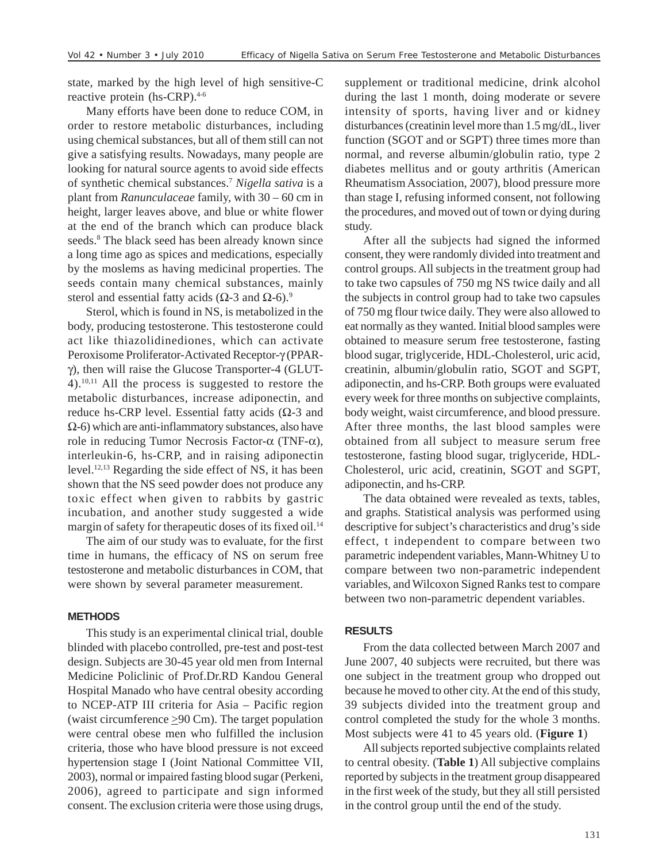state, marked by the high level of high sensitive-C reactive protein (hs-CRP).<sup>4-6</sup>

Many efforts have been done to reduce COM, in order to restore metabolic disturbances, including using chemical substances, but all of them still can not give a satisfying results. Nowadays, many people are looking for natural source agents to avoid side effects of synthetic chemical substances.7 *Nigella sativa* is a plant from *Ranunculaceae* family, with 30 – 60 cm in height, larger leaves above, and blue or white flower at the end of the branch which can produce black seeds.<sup>8</sup> The black seed has been already known since a long time ago as spices and medications, especially by the moslems as having medicinal properties. The seeds contain many chemical substances, mainly sterol and essential fatty acids ( $\Omega$ -3 and  $\Omega$ -6).<sup>9</sup>

Sterol, which is found in NS, is metabolized in the body, producing testosterone. This testosterone could act like thiazolidinediones, which can activate Peroxisome Proliferator-Activated Receptor-γ (PPARγ), then will raise the Glucose Transporter-4 (GLUT-4).10,11 All the process is suggested to restore the metabolic disturbances, increase adiponectin, and reduce hs-CRP level. Essential fatty acids ( $Ω$ -3 and  $\Omega$ -6) which are anti-inflammatory substances, also have role in reducing Tumor Necrosis Factor- $α$  (TNF- $α$ ), interleukin-6, hs-CRP, and in raising adiponectin level.12,13 Regarding the side effect of NS, it has been shown that the NS seed powder does not produce any toxic effect when given to rabbits by gastric incubation, and another study suggested a wide margin of safety for therapeutic doses of its fixed oil.<sup>14</sup>

The aim of our study was to evaluate, for the first time in humans, the efficacy of NS on serum free testosterone and metabolic disturbances in COM, that were shown by several parameter measurement.

# **METHODS**

This study is an experimental clinical trial, double blinded with placebo controlled, pre-test and post-test design. Subjects are 30-45 year old men from Internal Medicine Policlinic of Prof.Dr.RD Kandou General Hospital Manado who have central obesity according to NCEP-ATP III criteria for Asia – Pacific region (waist circumference  $\geq 90$  Cm). The target population were central obese men who fulfilled the inclusion criteria, those who have blood pressure is not exceed hypertension stage I (Joint National Committee VII, 2003), normal or impaired fasting blood sugar (Perkeni, 2006), agreed to participate and sign informed consent. The exclusion criteria were those using drugs,

supplement or traditional medicine, drink alcohol during the last 1 month, doing moderate or severe intensity of sports, having liver and or kidney disturbances (creatinin level more than 1.5 mg/dL, liver function (SGOT and or SGPT) three times more than normal, and reverse albumin/globulin ratio, type 2 diabetes mellitus and or gouty arthritis (American Rheumatism Association, 2007), blood pressure more than stage I, refusing informed consent, not following the procedures, and moved out of town or dying during study.

After all the subjects had signed the informed consent, they were randomly divided into treatment and control groups. All subjects in the treatment group had to take two capsules of 750 mg NS twice daily and all the subjects in control group had to take two capsules of 750 mg flour twice daily. They were also allowed to eat normally as they wanted. Initial blood samples were obtained to measure serum free testosterone, fasting blood sugar, triglyceride, HDL-Cholesterol, uric acid, creatinin, albumin/globulin ratio, SGOT and SGPT, adiponectin, and hs-CRP. Both groups were evaluated every week for three months on subjective complaints, body weight, waist circumference, and blood pressure. After three months, the last blood samples were obtained from all subject to measure serum free testosterone, fasting blood sugar, triglyceride, HDL-Cholesterol, uric acid, creatinin, SGOT and SGPT, adiponectin, and hs-CRP.

The data obtained were revealed as texts, tables, and graphs. Statistical analysis was performed using descriptive for subject's characteristics and drug's side effect, t independent to compare between two parametric independent variables, Mann-Whitney U to compare between two non-parametric independent variables, and Wilcoxon Signed Ranks test to compare between two non-parametric dependent variables.

# **RESULTS**

From the data collected between March 2007 and June 2007, 40 subjects were recruited, but there was one subject in the treatment group who dropped out because he moved to other city. At the end of this study, 39 subjects divided into the treatment group and control completed the study for the whole 3 months. Most subjects were 41 to 45 years old. (**Figure 1**)

All subjects reported subjective complaints related to central obesity. (**Table 1**) All subjective complains reported by subjects in the treatment group disappeared in the first week of the study, but they all still persisted in the control group until the end of the study.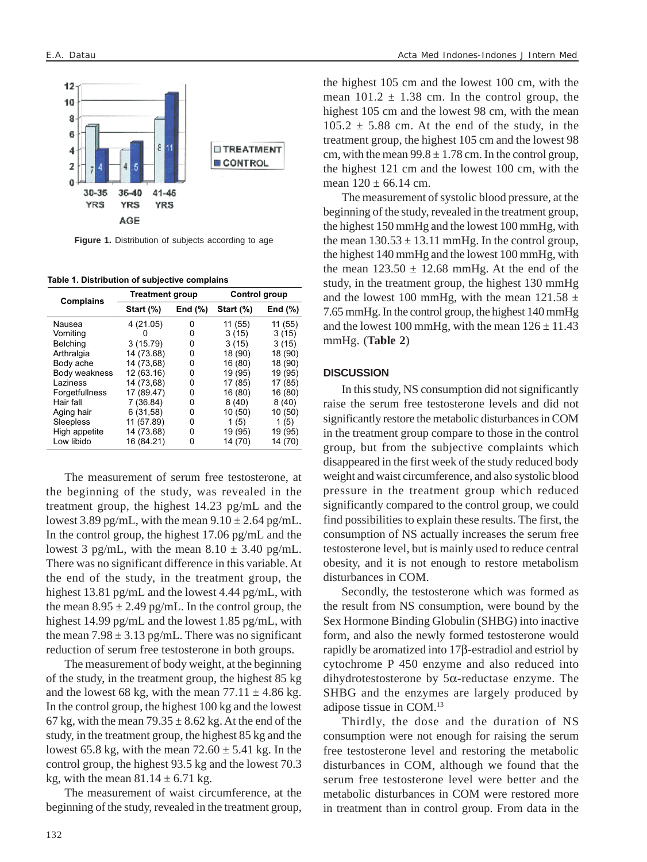

**Figure 1.** Distribution of subjects according to age

**Table 1. Distribution of subjective complains**

| <b>Complains</b> | <b>Treatment group</b> |            | Control group |            |
|------------------|------------------------|------------|---------------|------------|
|                  | Start (%)              | End $(\%)$ | Start $(\%)$  | End $(\%)$ |
| Nausea           | 4 (21.05)              | 0          | 11 (55)       | 11 (55)    |
| Vomiting         | 0                      | 0          | 3(15)         | 3(15)      |
| <b>Belching</b>  | 3(15.79)               | 0          | 3(15)         | 3(15)      |
| Arthralgia       | 14 (73.68)             | 0          | 18 (90)       | 18 (90)    |
| Body ache        | 14 (73,68)             | 0          | 16 (80)       | 18 (90)    |
| Body weakness    | 12 (63.16)             | 0          | 19 (95)       | 19 (95)    |
| Laziness         | 14 (73,68)             | 0          | 17 (85)       | 17 (85)    |
| Forgetfullness   | 17 (89.47)             | 0          | 16 (80)       | 16 (80)    |
| Hair fall        | 7 (36.84)              | 0          | 8(40)         | 8(40)      |
| Aging hair       | 6(31,58)               | 0          | 10 (50)       | 10 (50)    |
| Sleepless        | 11 (57.89)             | 0          | 1(5)          | 1(5)       |
| High appetite    | 14 (73.68)             | 0          | 19 (95)       | 19 (95)    |
| Low libido       | 16 (84.21)             | 0          | 14 (70)       | 14 (70)    |

The measurement of serum free testosterone, at the beginning of the study, was revealed in the treatment group, the highest 14.23 pg/mL and the lowest 3.89 pg/mL, with the mean  $9.10 \pm 2.64$  pg/mL. In the control group, the highest 17.06 pg/mL and the lowest 3 pg/mL, with the mean  $8.10 \pm 3.40$  pg/mL. There was no significant difference in this variable. At the end of the study, in the treatment group, the highest 13.81 pg/mL and the lowest 4.44 pg/mL, with the mean  $8.95 \pm 2.49$  pg/mL. In the control group, the highest 14.99 pg/mL and the lowest 1.85 pg/mL, with the mean  $7.98 \pm 3.13$  pg/mL. There was no significant reduction of serum free testosterone in both groups.

The measurement of body weight, at the beginning of the study, in the treatment group, the highest 85 kg and the lowest 68 kg, with the mean  $77.11 \pm 4.86$  kg. In the control group, the highest 100 kg and the lowest 67 kg, with the mean  $79.35 \pm 8.62$  kg. At the end of the study, in the treatment group, the highest 85 kg and the lowest 65.8 kg, with the mean  $72.60 \pm 5.41$  kg. In the control group, the highest 93.5 kg and the lowest 70.3 kg, with the mean  $81.14 \pm 6.71$  kg.

The measurement of waist circumference, at the beginning of the study, revealed in the treatment group, the highest 105 cm and the lowest 100 cm, with the mean  $101.2 \pm 1.38$  cm. In the control group, the highest 105 cm and the lowest 98 cm, with the mean  $105.2 \pm 5.88$  cm. At the end of the study, in the treatment group, the highest 105 cm and the lowest 98 cm, with the mean  $99.8 \pm 1.78$  cm. In the control group, the highest 121 cm and the lowest 100 cm, with the mean  $120 \pm 66.14$  cm.

The measurement of systolic blood pressure, at the beginning of the study, revealed in the treatment group, the highest 150 mmHg and the lowest 100 mmHg, with the mean  $130.53 \pm 13.11$  mmHg. In the control group, the highest 140 mmHg and the lowest 100 mmHg, with the mean  $123.50 \pm 12.68$  mmHg. At the end of the study, in the treatment group, the highest 130 mmHg and the lowest 100 mmHg, with the mean  $121.58 \pm$ 7.65 mmHg. In the control group, the highest 140 mmHg and the lowest 100 mmHg, with the mean  $126 \pm 11.43$ mmHg. (**Table 2**)

#### **DISCUSSION**

In this study, NS consumption did not significantly raise the serum free testosterone levels and did not significantly restore the metabolic disturbances in COM in the treatment group compare to those in the control group, but from the subjective complaints which disappeared in the first week of the study reduced body weight and waist circumference, and also systolic blood pressure in the treatment group which reduced significantly compared to the control group, we could find possibilities to explain these results. The first, the consumption of NS actually increases the serum free testosterone level, but is mainly used to reduce central obesity, and it is not enough to restore metabolism disturbances in COM.

Secondly, the testosterone which was formed as the result from NS consumption, were bound by the Sex Hormone Binding Globulin (SHBG) into inactive form, and also the newly formed testosterone would rapidly be aromatized into 17β-estradiol and estriol by cytochrome P 450 enzyme and also reduced into dihydrotestosterone by 5α-reductase enzyme. The SHBG and the enzymes are largely produced by adipose tissue in COM.13

Thirdly, the dose and the duration of NS consumption were not enough for raising the serum free testosterone level and restoring the metabolic disturbances in COM, although we found that the serum free testosterone level were better and the metabolic disturbances in COM were restored more in treatment than in control group. From data in the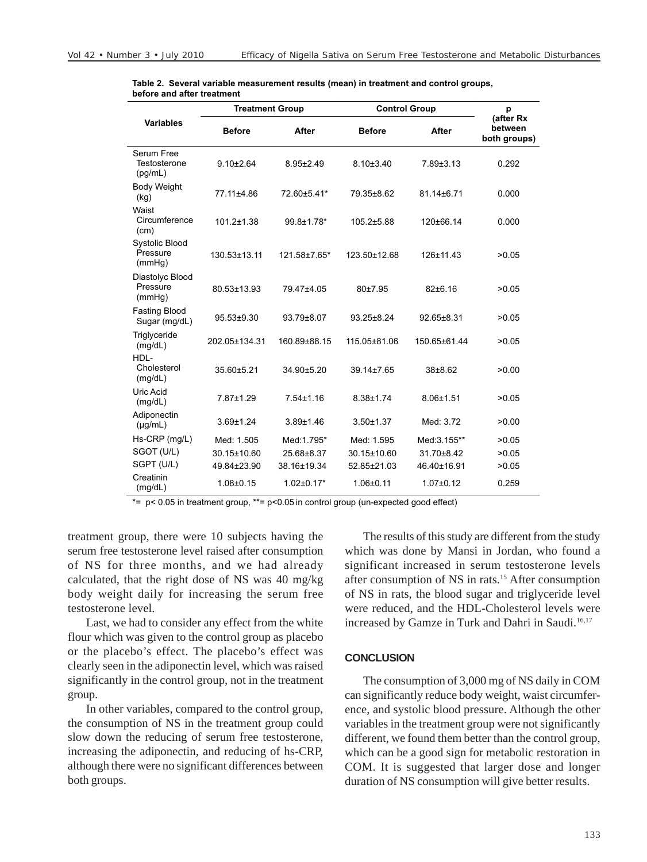|                                       | <b>Treatment Group</b> |                  | <b>Control Group</b> |                  | p                                    |
|---------------------------------------|------------------------|------------------|----------------------|------------------|--------------------------------------|
| <b>Variables</b>                      | <b>Before</b>          | After            | <b>Before</b>        | After            | (after Rx<br>between<br>both groups) |
| Serum Free<br>Testosterone<br>(pg/mL) | $9.10 \pm 2.64$        | $8.95 \pm 2.49$  | $8.10 \pm 3.40$      | $7.89 \pm 3.13$  | 0.292                                |
| Body Weight<br>(kg)                   | 77.11±4.86             | 72.60±5.41*      | 79.35±8.62           | 81.14±6.71       | 0.000                                |
| Waist<br>Circumference<br>(cm)        | $101.2 \pm 1.38$       | 99.8±1.78*       | 105.2±5.88           | 120±66.14        | 0.000                                |
| Systolic Blood<br>Pressure<br>(mmHg)  | 130.53±13.11           | 121.58±7.65*     | 123.50±12.68         | $126 \pm 11.43$  | >0.05                                |
| Diastolyc Blood<br>Pressure<br>(mmHg) | 80.53±13.93            | 79.47±4.05       | 80±7.95              | 82±6.16          | >0.05                                |
| <b>Fasting Blood</b><br>Sugar (mg/dL) | 95.53±9.30             | 93.79±8.07       | 93.25±8.24           | $92.65 \pm 8.31$ | >0.05                                |
| Triglyceride<br>(mg/dL)               | 202.05±134.31          | 160.89±88.15     | 115.05±81.06         | 150.65±61.44     | >0.05                                |
| HDL-<br>Cholesterol<br>(mg/dL)        | 35.60±5.21             | 34.90±5.20       | 39.14±7.65           | $38 + 8.62$      | >0.00                                |
| Uric Acid<br>(mg/dL)                  | 7.87±1.29              | $7.54 \pm 1.16$  | $8.38 \pm 1.74$      | $8.06 \pm 1.51$  | >0.05                                |
| Adiponectin<br>$(\mu g/mL)$           | $3.69 + 1.24$          | $3.89 + 1.46$    | $3.50 + 1.37$        | Med: 3.72        | >0.00                                |
| Hs-CRP (mg/L)                         | Med: 1.505             | Med:1.795*       | Med: 1.595           | Med: 3.155**     | >0.05                                |
| SGOT (U/L)                            | 30.15±10.60            | 25.68±8.37       | 30.15±10.60          | 31.70±8.42       | >0.05                                |
| SGPT (U/L)                            | 49.84±23.90            | 38.16±19.34      | 52.85±21.03          | 46.40±16.91      | >0.05                                |
| Creatinin<br>(mg/dL)                  | $1.08 + 0.15$          | $1.02 \pm 0.17*$ | $1.06 \pm 0.11$      | $1.07 \pm 0.12$  | 0.259                                |

**Table 2. Several variable measurement results (mean) in treatment and control groups, before and after treatment**

\*=  $p$  < 0.05 in treatment group, \*\*=  $p$  < 0.05 in control group (un-expected good effect)

treatment group, there were 10 subjects having the serum free testosterone level raised after consumption of NS for three months, and we had already calculated, that the right dose of NS was 40 mg/kg body weight daily for increasing the serum free testosterone level.

Last, we had to consider any effect from the white flour which was given to the control group as placebo or the placebo's effect. The placebo's effect was clearly seen in the adiponectin level, which was raised significantly in the control group, not in the treatment group.

In other variables, compared to the control group, the consumption of NS in the treatment group could slow down the reducing of serum free testosterone, increasing the adiponectin, and reducing of hs-CRP, although there were no significant differences between both groups.

The results of this study are different from the study which was done by Mansi in Jordan, who found a significant increased in serum testosterone levels after consumption of NS in rats.15 After consumption of NS in rats, the blood sugar and triglyceride level were reduced, and the HDL-Cholesterol levels were increased by Gamze in Turk and Dahri in Saudi.<sup>16,17</sup>

#### **CONCLUSION**

The consumption of 3,000 mg of NS daily in COM can significantly reduce body weight, waist circumference, and systolic blood pressure. Although the other variables in the treatment group were not significantly different, we found them better than the control group, which can be a good sign for metabolic restoration in COM. It is suggested that larger dose and longer duration of NS consumption will give better results.